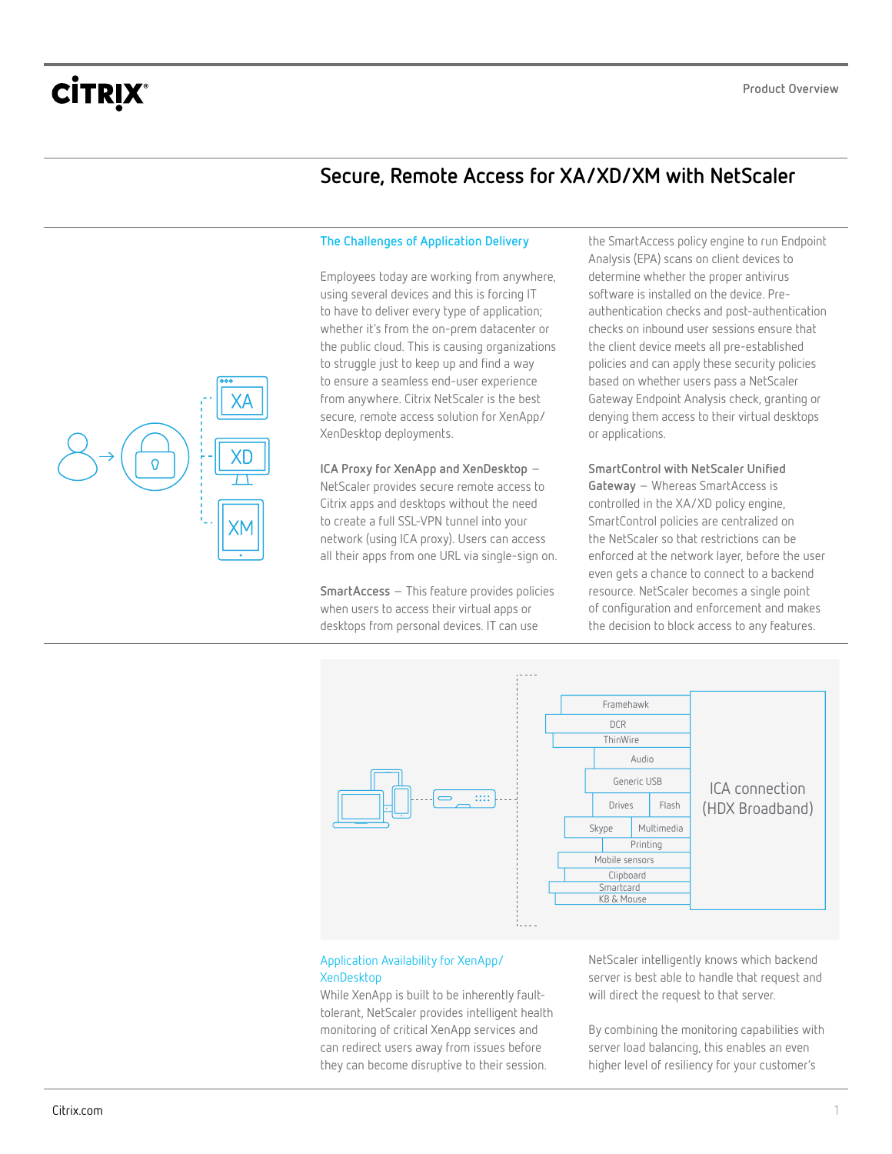## **Secure, Remote Access for XA/XD/XM with NetScaler**

#### **The Challenges of Application Delivery**

Employees today are working from anywhere, using several devices and this is forcing IT to have to deliver every type of application; whether it's from the on-prem datacenter or the public cloud. This is causing organizations to struggle just to keep up and find a way to ensure a seamless end-user experience from anywhere. Citrix NetScaler is the best secure, remote access solution for XenApp/ XenDesktop deployments.

**ICA Proxy for XenApp and XenDesktop** – NetScaler provides secure remote access to Citrix apps and desktops without the need to create a full SSL-VPN tunnel into your network (using ICA proxy). Users can access all their apps from one URL via single-sign on.

**SmartAccess** – This feature provides policies when users to access their virtual apps or desktops from personal devices. IT can use

the SmartAccess policy engine to run Endpoint Analysis (EPA) scans on client devices to determine whether the proper antivirus software is installed on the device. Preauthentication checks and post-authentication checks on inbound user sessions ensure that the client device meets all pre-established policies and can apply these security policies based on whether users pass a NetScaler Gateway Endpoint Analysis check, granting or denying them access to their virtual desktops or applications.

**SmartControl with NetScaler Unified Gateway** – Whereas SmartAccess is controlled in the XA/XD policy engine, SmartControl policies are centralized on the NetScaler so that restrictions can be enforced at the network layer, before the user even gets a chance to connect to a backend resource. NetScaler becomes a single point of configuration and enforcement and makes the decision to block access to any features.



### Application Availability for XenApp/ **XenDesktop**

While XenApp is built to be inherently faulttolerant, NetScaler provides intelligent health monitoring of critical XenApp services and can redirect users away from issues before they can become disruptive to their session.

NetScaler intelligently knows which backend server is best able to handle that request and will direct the request to that server.

By combining the monitoring capabilities with server load balancing, this enables an even higher level of resiliency for your customer's